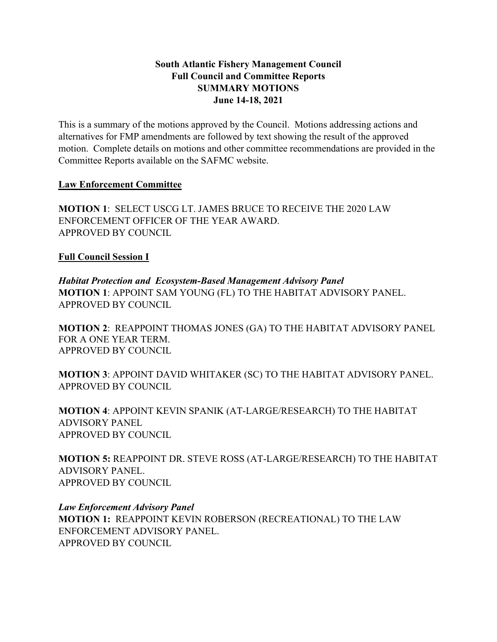#### **South Atlantic Fishery Management Council Full Council and Committee Reports SUMMARY MOTIONS June 14-18, 2021**

This is a summary of the motions approved by the Council. Motions addressing actions and alternatives for FMP amendments are followed by text showing the result of the approved motion. Complete details on motions and other committee recommendations are provided in the Committee Reports available on the SAFMC website.

#### **Law Enforcement Committee**

**MOTION 1**: SELECT USCG LT. JAMES BRUCE TO RECEIVE THE 2020 LAW ENFORCEMENT OFFICER OF THE YEAR AWARD. APPROVED BY COUNCIL

## **Full Council Session I**

*Habitat Protection and Ecosystem-Based Management Advisory Panel* **MOTION 1**: APPOINT SAM YOUNG (FL) TO THE HABITAT ADVISORY PANEL. APPROVED BY COUNCIL

**MOTION 2**: REAPPOINT THOMAS JONES (GA) TO THE HABITAT ADVISORY PANEL FOR A ONE YEAR TERM. APPROVED BY COUNCIL

**MOTION 3**: APPOINT DAVID WHITAKER (SC) TO THE HABITAT ADVISORY PANEL. APPROVED BY COUNCIL

**MOTION 4**: APPOINT KEVIN SPANIK (AT-LARGE/RESEARCH) TO THE HABITAT ADVISORY PANEL APPROVED BY COUNCIL

**MOTION 5:** REAPPOINT DR. STEVE ROSS (AT-LARGE/RESEARCH) TO THE HABITAT ADVISORY PANEL. APPROVED BY COUNCIL

# *Law Enforcement Advisory Panel* **MOTION 1:** REAPPOINT KEVIN ROBERSON (RECREATIONAL) TO THE LAW ENFORCEMENT ADVISORY PANEL.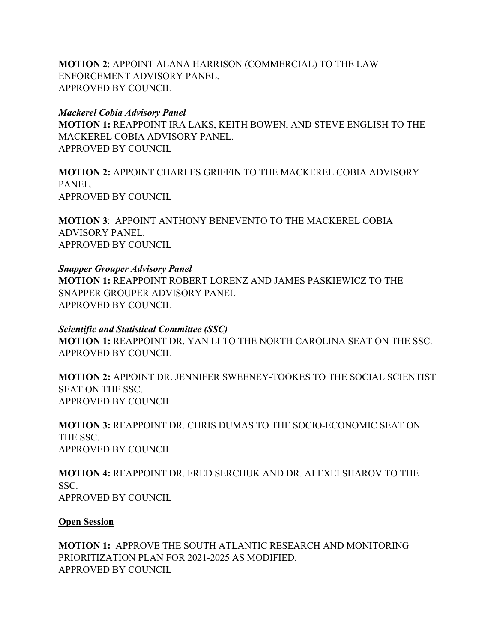**MOTION 2**: APPOINT ALANA HARRISON (COMMERCIAL) TO THE LAW ENFORCEMENT ADVISORY PANEL. APPROVED BY COUNCIL

*Mackerel Cobia Advisory Panel* **MOTION 1:** REAPPOINT IRA LAKS, KEITH BOWEN, AND STEVE ENGLISH TO THE MACKEREL COBIA ADVISORY PANEL. APPROVED BY COUNCIL

**MOTION 2:** APPOINT CHARLES GRIFFIN TO THE MACKEREL COBIA ADVISORY PANEL. APPROVED BY COUNCIL

**MOTION 3**: APPOINT ANTHONY BENEVENTO TO THE MACKEREL COBIA ADVISORY PANEL. APPROVED BY COUNCIL

*Snapper Grouper Advisory Panel* **MOTION 1:** REAPPOINT ROBERT LORENZ AND JAMES PASKIEWICZ TO THE SNAPPER GROUPER ADVISORY PANEL APPROVED BY COUNCIL

*Scientific and Statistical Committee (SSC)* **MOTION 1:** REAPPOINT DR. YAN LI TO THE NORTH CAROLINA SEAT ON THE SSC. APPROVED BY COUNCIL

**MOTION 2:** APPOINT DR. JENNIFER SWEENEY-TOOKES TO THE SOCIAL SCIENTIST SEAT ON THE SSC. APPROVED BY COUNCIL

**MOTION 3:** REAPPOINT DR. CHRIS DUMAS TO THE SOCIO-ECONOMIC SEAT ON THE SSC. APPROVED BY COUNCIL

**MOTION 4:** REAPPOINT DR. FRED SERCHUK AND DR. ALEXEI SHAROV TO THE SSC. APPROVED BY COUNCIL

**Open Session**

**MOTION 1:** APPROVE THE SOUTH ATLANTIC RESEARCH AND MONITORING PRIORITIZATION PLAN FOR 2021-2025 AS MODIFIED. APPROVED BY COUNCIL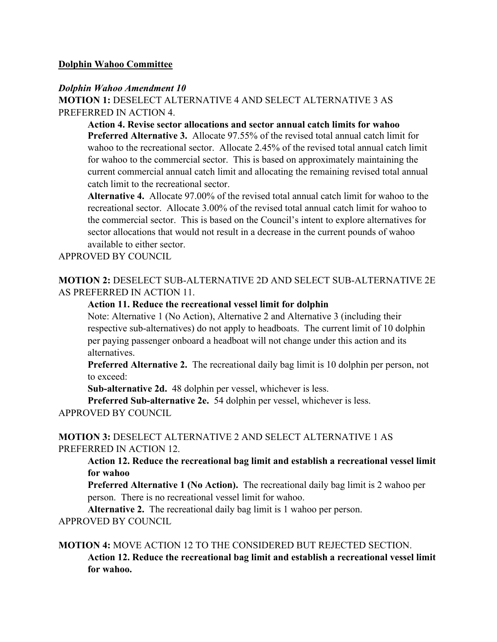#### **Dolphin Wahoo Committee**

#### *Dolphin Wahoo Amendment 10*

**MOTION 1:** DESELECT ALTERNATIVE 4 AND SELECT ALTERNATIVE 3 AS PREFERRED IN ACTION 4.

**Action 4. Revise sector allocations and sector annual catch limits for wahoo Preferred Alternative 3.** Allocate 97.55% of the revised total annual catch limit for wahoo to the recreational sector. Allocate 2.45% of the revised total annual catch limit for wahoo to the commercial sector. This is based on approximately maintaining the current commercial annual catch limit and allocating the remaining revised total annual catch limit to the recreational sector.

**Alternative 4.** Allocate 97.00% of the revised total annual catch limit for wahoo to the recreational sector. Allocate 3.00% of the revised total annual catch limit for wahoo to the commercial sector. This is based on the Council's intent to explore alternatives for sector allocations that would not result in a decrease in the current pounds of wahoo available to either sector.

APPROVED BY COUNCIL

# **MOTION 2:** DESELECT SUB-ALTERNATIVE 2D AND SELECT SUB-ALTERNATIVE 2E AS PREFERRED IN ACTION 11.

#### **Action 11. Reduce the recreational vessel limit for dolphin**

Note: Alternative 1 (No Action), Alternative 2 and Alternative 3 (including their respective sub-alternatives) do not apply to headboats. The current limit of 10 dolphin per paying passenger onboard a headboat will not change under this action and its alternatives.

**Preferred Alternative 2.** The recreational daily bag limit is 10 dolphin per person, not to exceed:

**Sub-alternative 2d.** 48 dolphin per vessel, whichever is less.

**Preferred Sub-alternative 2e.** 54 dolphin per vessel, whichever is less. APPROVED BY COUNCIL

#### **MOTION 3:** DESELECT ALTERNATIVE 2 AND SELECT ALTERNATIVE 1 AS PREFERRED IN ACTION 12.

**Action 12. Reduce the recreational bag limit and establish a recreational vessel limit for wahoo** 

**Preferred Alternative 1 (No Action).** The recreational daily bag limit is 2 wahoo per person. There is no recreational vessel limit for wahoo.

**Alternative 2.** The recreational daily bag limit is 1 wahoo per person. APPROVED BY COUNCIL

#### **MOTION 4:** MOVE ACTION 12 TO THE CONSIDERED BUT REJECTED SECTION.

**Action 12. Reduce the recreational bag limit and establish a recreational vessel limit for wahoo.**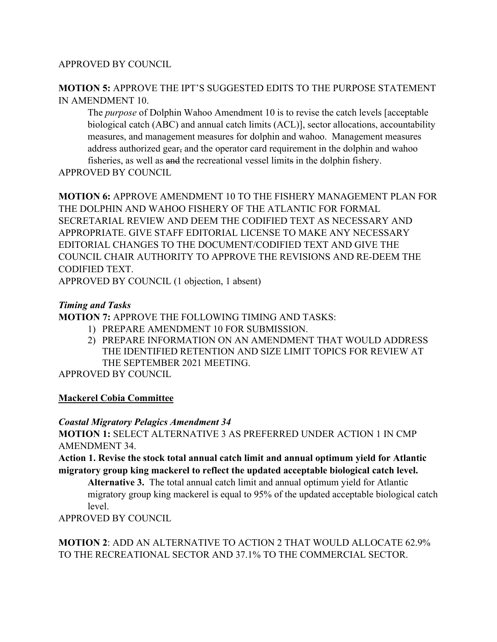#### APPROVED BY COUNCIL

### **MOTION 5:** APPROVE THE IPT'S SUGGESTED EDITS TO THE PURPOSE STATEMENT IN AMENDMENT 10.

The *purpose* of Dolphin Wahoo Amendment 10 is to revise the catch levels [acceptable biological catch (ABC) and annual catch limits (ACL)], sector allocations, accountability measures, and management measures for dolphin and wahoo. Management measures address authorized gear, and the operator card requirement in the dolphin and wahoo fisheries, as well as and the recreational vessel limits in the dolphin fishery.

APPROVED BY COUNCIL

**MOTION 6:** APPROVE AMENDMENT 10 TO THE FISHERY MANAGEMENT PLAN FOR THE DOLPHIN AND WAHOO FISHERY OF THE ATLANTIC FOR FORMAL SECRETARIAL REVIEW AND DEEM THE CODIFIED TEXT AS NECESSARY AND APPROPRIATE. GIVE STAFF EDITORIAL LICENSE TO MAKE ANY NECESSARY EDITORIAL CHANGES TO THE DOCUMENT/CODIFIED TEXT AND GIVE THE COUNCIL CHAIR AUTHORITY TO APPROVE THE REVISIONS AND RE-DEEM THE CODIFIED TEXT.

APPROVED BY COUNCIL (1 objection, 1 absent)

## *Timing and Tasks*

**MOTION 7:** APPROVE THE FOLLOWING TIMING AND TASKS:

- 1) PREPARE AMENDMENT 10 FOR SUBMISSION.
- 2) PREPARE INFORMATION ON AN AMENDMENT THAT WOULD ADDRESS THE IDENTIFIED RETENTION AND SIZE LIMIT TOPICS FOR REVIEW AT THE SEPTEMBER 2021 MEETING.

APPROVED BY COUNCIL

# **Mackerel Cobia Committee**

*Coastal Migratory Pelagics Amendment 34*

**MOTION 1:** SELECT ALTERNATIVE 3 AS PREFERRED UNDER ACTION 1 IN CMP AMENDMENT 34.

**Action 1. Revise the stock total annual catch limit and annual optimum yield for Atlantic migratory group king mackerel to reflect the updated acceptable biological catch level.**

**Alternative 3.** The total annual catch limit and annual optimum yield for Atlantic migratory group king mackerel is equal to 95% of the updated acceptable biological catch level.

APPROVED BY COUNCIL

**MOTION 2**: ADD AN ALTERNATIVE TO ACTION 2 THAT WOULD ALLOCATE 62.9% TO THE RECREATIONAL SECTOR AND 37.1% TO THE COMMERCIAL SECTOR.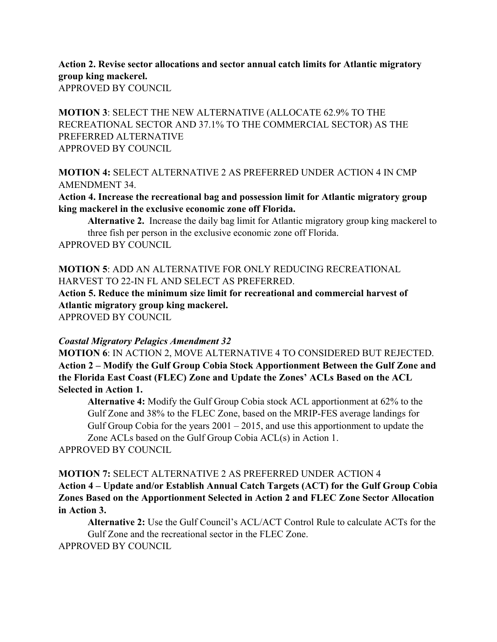**Action 2. Revise sector allocations and sector annual catch limits for Atlantic migratory group king mackerel.** APPROVED BY COUNCIL

**MOTION 3**: SELECT THE NEW ALTERNATIVE (ALLOCATE 62.9% TO THE RECREATIONAL SECTOR AND 37.1% TO THE COMMERCIAL SECTOR) AS THE PREFERRED ALTERNATIVE APPROVED BY COUNCIL

**MOTION 4:** SELECT ALTERNATIVE 2 AS PREFERRED UNDER ACTION 4 IN CMP AMENDMENT 34.

**Action 4. Increase the recreational bag and possession limit for Atlantic migratory group king mackerel in the exclusive economic zone off Florida.**

**Alternative 2.** Increase the daily bag limit for Atlantic migratory group king mackerel to three fish per person in the exclusive economic zone off Florida. APPROVED BY COUNCIL

**MOTION 5**: ADD AN ALTERNATIVE FOR ONLY REDUCING RECREATIONAL HARVEST TO 22-IN FL AND SELECT AS PREFERRED.

**Action 5. Reduce the minimum size limit for recreational and commercial harvest of Atlantic migratory group king mackerel.**

APPROVED BY COUNCIL

#### *Coastal Migratory Pelagics Amendment 32*

**MOTION 6**: IN ACTION 2, MOVE ALTERNATIVE 4 TO CONSIDERED BUT REJECTED. **Action 2 – Modify the Gulf Group Cobia Stock Apportionment Between the Gulf Zone and the Florida East Coast (FLEC) Zone and Update the Zones' ACLs Based on the ACL Selected in Action 1.**

**Alternative 4:** Modify the Gulf Group Cobia stock ACL apportionment at 62% to the Gulf Zone and 38% to the FLEC Zone, based on the MRIP-FES average landings for Gulf Group Cobia for the years  $2001 - 2015$ , and use this apportionment to update the Zone ACLs based on the Gulf Group Cobia ACL(s) in Action 1.

APPROVED BY COUNCIL

**MOTION 7:** SELECT ALTERNATIVE 2 AS PREFERRED UNDER ACTION 4 **Action 4 – Update and/or Establish Annual Catch Targets (ACT) for the Gulf Group Cobia Zones Based on the Apportionment Selected in Action 2 and FLEC Zone Sector Allocation in Action 3.**

**Alternative 2:** Use the Gulf Council's ACL/ACT Control Rule to calculate ACTs for the Gulf Zone and the recreational sector in the FLEC Zone.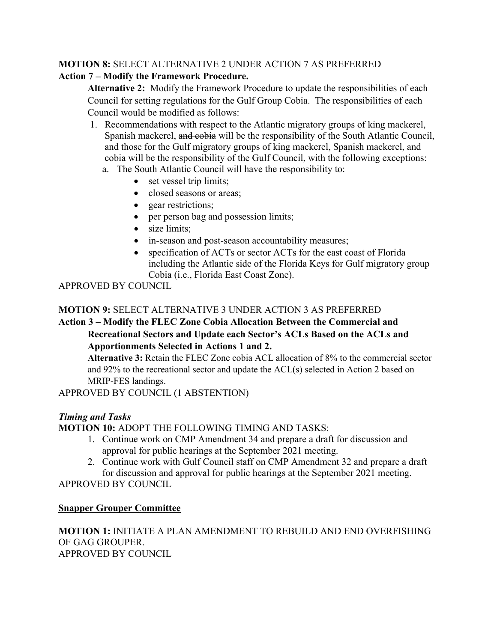# **MOTION 8:** SELECT ALTERNATIVE 2 UNDER ACTION 7 AS PREFERRED

# **Action 7 – Modify the Framework Procedure.**

**Alternative 2:** Modify the Framework Procedure to update the responsibilities of each Council for setting regulations for the Gulf Group Cobia. The responsibilities of each Council would be modified as follows:

- 1. Recommendations with respect to the Atlantic migratory groups of king mackerel, Spanish mackerel, and cobia will be the responsibility of the South Atlantic Council, and those for the Gulf migratory groups of king mackerel, Spanish mackerel, and cobia will be the responsibility of the Gulf Council, with the following exceptions:
	- a. The South Atlantic Council will have the responsibility to:
		- set vessel trip limits;
		- closed seasons or areas;
		- gear restrictions;
		- per person bag and possession limits;
		- size limits:
		- in-season and post-season accountability measures;
		- specification of ACTs or sector ACTs for the east coast of Florida including the Atlantic side of the Florida Keys for Gulf migratory group Cobia (i.e., Florida East Coast Zone).

APPROVED BY COUNCIL

# **MOTION 9:** SELECT ALTERNATIVE 3 UNDER ACTION 3 AS PREFERRED

# **Action 3 – Modify the FLEC Zone Cobia Allocation Between the Commercial and Recreational Sectors and Update each Sector's ACLs Based on the ACLs and Apportionments Selected in Actions 1 and 2.**

**Alternative 3:** Retain the FLEC Zone cobia ACL allocation of 8% to the commercial sector and 92% to the recreational sector and update the ACL(s) selected in Action 2 based on MRIP-FES landings.

APPROVED BY COUNCIL (1 ABSTENTION)

# *Timing and Tasks*

**MOTION 10:** ADOPT THE FOLLOWING TIMING AND TASKS:

- 1. Continue work on CMP Amendment 34 and prepare a draft for discussion and approval for public hearings at the September 2021 meeting.
- 2. Continue work with Gulf Council staff on CMP Amendment 32 and prepare a draft for discussion and approval for public hearings at the September 2021 meeting.

# APPROVED BY COUNCIL

# **Snapper Grouper Committee**

**MOTION 1:** INITIATE A PLAN AMENDMENT TO REBUILD AND END OVERFISHING OF GAG GROUPER. APPROVED BY COUNCIL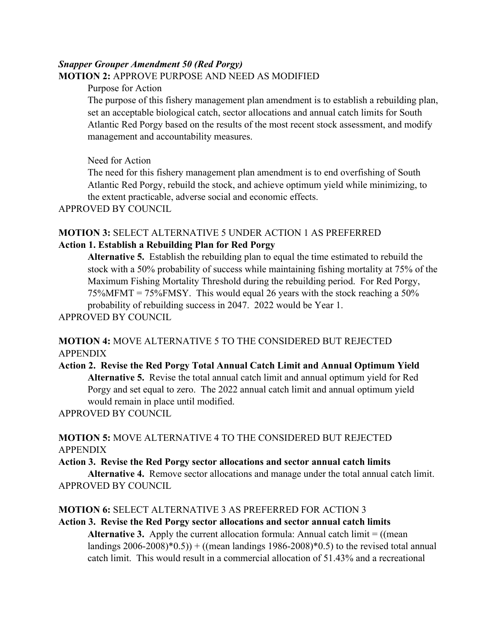# *Snapper Grouper Amendment 50 (Red Porgy)*

## **MOTION 2:** APPROVE PURPOSE AND NEED AS MODIFIED

#### Purpose for Action

The purpose of this fishery management plan amendment is to establish a rebuilding plan, set an acceptable biological catch, sector allocations and annual catch limits for South Atlantic Red Porgy based on the results of the most recent stock assessment, and modify management and accountability measures.

### Need for Action

The need for this fishery management plan amendment is to end overfishing of South Atlantic Red Porgy, rebuild the stock, and achieve optimum yield while minimizing, to the extent practicable, adverse social and economic effects.

APPROVED BY COUNCIL

# **MOTION 3:** SELECT ALTERNATIVE 5 UNDER ACTION 1 AS PREFERRED

# **Action 1. Establish a Rebuilding Plan for Red Porgy**

**Alternative 5.** Establish the rebuilding plan to equal the time estimated to rebuild the stock with a 50% probability of success while maintaining fishing mortality at 75% of the Maximum Fishing Mortality Threshold during the rebuilding period. For Red Porgy,  $75\%$ MFMT =  $75\%$ FMSY. This would equal 26 years with the stock reaching a  $50\%$ probability of rebuilding success in 2047. 2022 would be Year 1.

APPROVED BY COUNCIL

# **MOTION 4:** MOVE ALTERNATIVE 5 TO THE CONSIDERED BUT REJECTED APPENDIX

**Action 2. Revise the Red Porgy Total Annual Catch Limit and Annual Optimum Yield Alternative 5.** Revise the total annual catch limit and annual optimum yield for Red Porgy and set equal to zero. The 2022 annual catch limit and annual optimum yield would remain in place until modified.

APPROVED BY COUNCIL

# **MOTION 5:** MOVE ALTERNATIVE 4 TO THE CONSIDERED BUT REJECTED APPENDIX

#### **Action 3. Revise the Red Porgy sector allocations and sector annual catch limits**

**Alternative 4.** Remove sector allocations and manage under the total annual catch limit. APPROVED BY COUNCIL

# **MOTION 6:** SELECT ALTERNATIVE 3 AS PREFERRED FOR ACTION 3

# **Action 3. Revise the Red Porgy sector allocations and sector annual catch limits**

**Alternative 3.** Apply the current allocation formula: Annual catch limit  $=$  ((mean) landings  $2006-2008$ <sup>\*</sup> $(0.5)$  + ((mean landings  $1986-2008$ <sup>\*</sup> $(0.5)$ ) to the revised total annual catch limit. This would result in a commercial allocation of 51.43% and a recreational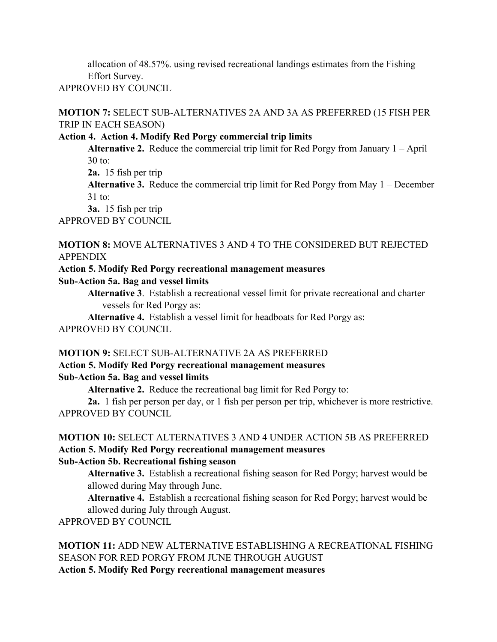allocation of 48.57%. using revised recreational landings estimates from the Fishing Effort Survey.

APPROVED BY COUNCIL

**MOTION 7:** SELECT SUB-ALTERNATIVES 2A AND 3A AS PREFERRED (15 FISH PER TRIP IN EACH SEASON)

# **Action 4. Action 4. Modify Red Porgy commercial trip limits**

**Alternative 2.** Reduce the commercial trip limit for Red Porgy from January 1 – April 30 to:

**2a.** 15 fish per trip

**Alternative 3.** Reduce the commercial trip limit for Red Porgy from May 1 – December 31 to:

**3a.** 15 fish per trip

APPROVED BY COUNCIL

## **MOTION 8:** MOVE ALTERNATIVES 3 AND 4 TO THE CONSIDERED BUT REJECTED APPENDIX

# **Action 5. Modify Red Porgy recreational management measures**

**Sub-Action 5a. Bag and vessel limits**

**Alternative 3**. Establish a recreational vessel limit for private recreational and charter vessels for Red Porgy as:

**Alternative 4.** Establish a vessel limit for headboats for Red Porgy as: APPROVED BY COUNCIL

# **MOTION 9:** SELECT SUB-ALTERNATIVE 2A AS PREFERRED

#### **Action 5. Modify Red Porgy recreational management measures Sub-Action 5a. Bag and vessel limits**

**Alternative 2.** Reduce the recreational bag limit for Red Porgy to:

**2a.** 1 fish per person per day, or 1 fish per person per trip, whichever is more restrictive. APPROVED BY COUNCIL

#### **MOTION 10:** SELECT ALTERNATIVES 3 AND 4 UNDER ACTION 5B AS PREFERRED **Action 5. Modify Red Porgy recreational management measures Sub-Action 5b. Recreational fishing season**

**Alternative 3.** Establish a recreational fishing season for Red Porgy; harvest would be allowed during May through June.

**Alternative 4.** Establish a recreational fishing season for Red Porgy; harvest would be allowed during July through August.

APPROVED BY COUNCIL

**MOTION 11:** ADD NEW ALTERNATIVE ESTABLISHING A RECREATIONAL FISHING SEASON FOR RED PORGY FROM JUNE THROUGH AUGUST

**Action 5. Modify Red Porgy recreational management measures**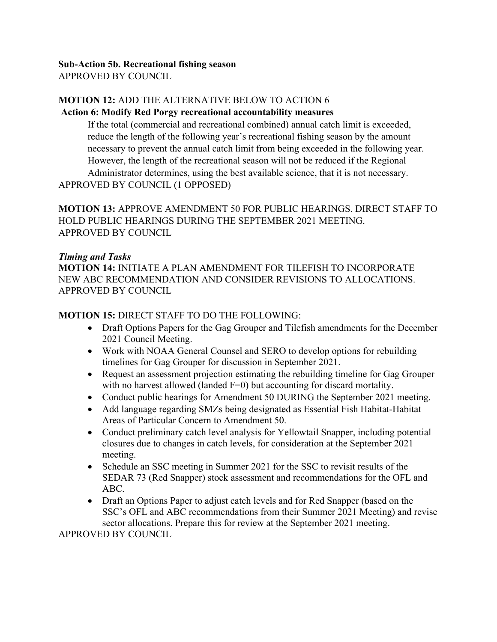#### **Sub-Action 5b. Recreational fishing season** APPROVED BY COUNCIL

# **MOTION 12:** ADD THE ALTERNATIVE BELOW TO ACTION 6

#### **Action 6: Modify Red Porgy recreational accountability measures**

If the total (commercial and recreational combined) annual catch limit is exceeded, reduce the length of the following year's recreational fishing season by the amount necessary to prevent the annual catch limit from being exceeded in the following year. However, the length of the recreational season will not be reduced if the Regional Administrator determines, using the best available science, that it is not necessary.

APPROVED BY COUNCIL (1 OPPOSED)

**MOTION 13:** APPROVE AMENDMENT 50 FOR PUBLIC HEARINGS. DIRECT STAFF TO HOLD PUBLIC HEARINGS DURING THE SEPTEMBER 2021 MEETING. APPROVED BY COUNCIL

#### *Timing and Tasks*

**MOTION 14:** INITIATE A PLAN AMENDMENT FOR TILEFISH TO INCORPORATE NEW ABC RECOMMENDATION AND CONSIDER REVISIONS TO ALLOCATIONS. APPROVED BY COUNCIL

## **MOTION 15:** DIRECT STAFF TO DO THE FOLLOWING:

- Draft Options Papers for the Gag Grouper and Tilefish amendments for the December 2021 Council Meeting.
- Work with NOAA General Counsel and SERO to develop options for rebuilding timelines for Gag Grouper for discussion in September 2021.
- Request an assessment projection estimating the rebuilding timeline for Gag Grouper with no harvest allowed (landed F=0) but accounting for discard mortality.
- Conduct public hearings for Amendment 50 DURING the September 2021 meeting.
- Add language regarding SMZs being designated as Essential Fish Habitat-Habitat Areas of Particular Concern to Amendment 50.
- Conduct preliminary catch level analysis for Yellowtail Snapper, including potential closures due to changes in catch levels, for consideration at the September 2021 meeting.
- Schedule an SSC meeting in Summer 2021 for the SSC to revisit results of the SEDAR 73 (Red Snapper) stock assessment and recommendations for the OFL and ABC.
- Draft an Options Paper to adjust catch levels and for Red Snapper (based on the SSC's OFL and ABC recommendations from their Summer 2021 Meeting) and revise sector allocations. Prepare this for review at the September 2021 meeting.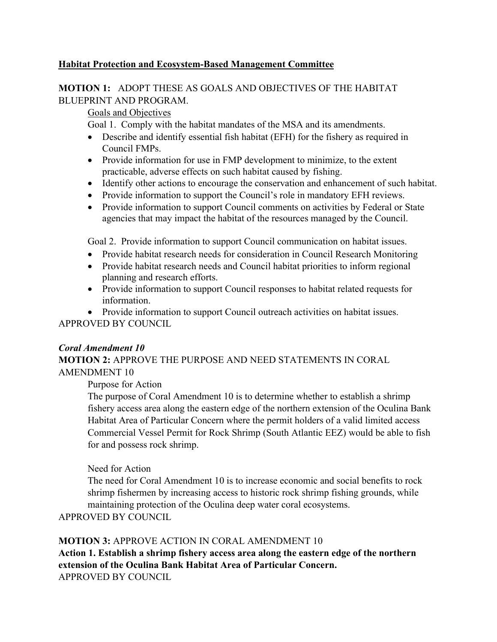#### **Habitat Protection and Ecosystem-Based Management Committee**

### **MOTION 1:** ADOPT THESE AS GOALS AND OBJECTIVES OF THE HABITAT BLUEPRINT AND PROGRAM.

Goals and Objectives

Goal 1. Comply with the habitat mandates of the MSA and its amendments.

- Describe and identify essential fish habitat (EFH) for the fishery as required in Council FMPs.
- Provide information for use in FMP development to minimize, to the extent practicable, adverse effects on such habitat caused by fishing.
- Identify other actions to encourage the conservation and enhancement of such habitat.
- Provide information to support the Council's role in mandatory EFH reviews.
- Provide information to support Council comments on activities by Federal or State agencies that may impact the habitat of the resources managed by the Council.

Goal 2. Provide information to support Council communication on habitat issues.

- Provide habitat research needs for consideration in Council Research Monitoring
- Provide habitat research needs and Council habitat priorities to inform regional planning and research efforts.
- Provide information to support Council responses to habitat related requests for information.

• Provide information to support Council outreach activities on habitat issues. APPROVED BY COUNCIL

#### *Coral Amendment 10*

# **MOTION 2:** APPROVE THE PURPOSE AND NEED STATEMENTS IN CORAL AMENDMENT 10

Purpose for Action

The purpose of Coral Amendment 10 is to determine whether to establish a shrimp fishery access area along the eastern edge of the northern extension of the Oculina Bank Habitat Area of Particular Concern where the permit holders of a valid limited access Commercial Vessel Permit for Rock Shrimp (South Atlantic EEZ) would be able to fish for and possess rock shrimp.

#### Need for Action

The need for Coral Amendment 10 is to increase economic and social benefits to rock shrimp fishermen by increasing access to historic rock shrimp fishing grounds, while maintaining protection of the Oculina deep water coral ecosystems.

APPROVED BY COUNCIL

# **MOTION 3:** APPROVE ACTION IN CORAL AMENDMENT 10

**Action 1. Establish a shrimp fishery access area along the eastern edge of the northern extension of the Oculina Bank Habitat Area of Particular Concern.** APPROVED BY COUNCIL